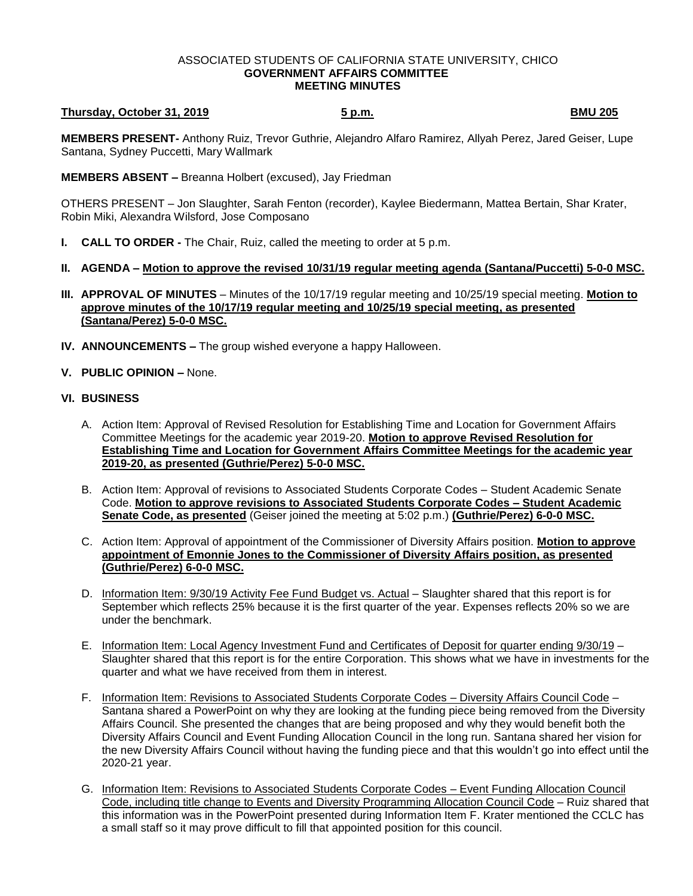## ASSOCIATED STUDENTS OF CALIFORNIA STATE UNIVERSITY, CHICO **GOVERNMENT AFFAIRS COMMITTEE MEETING MINUTES**

## **Thursday, October 31, 2019 5 p.m. BMU 205**

**MEMBERS PRESENT-** Anthony Ruiz, Trevor Guthrie, Alejandro Alfaro Ramirez, Allyah Perez, Jared Geiser, Lupe Santana, Sydney Puccetti, Mary Wallmark

**MEMBERS ABSENT –** Breanna Holbert (excused), Jay Friedman

OTHERS PRESENT – Jon Slaughter, Sarah Fenton (recorder), Kaylee Biedermann, Mattea Bertain, Shar Krater, Robin Miki, Alexandra Wilsford, Jose Composano

- **I. CALL TO ORDER -** The Chair, Ruiz, called the meeting to order at 5 p.m.
- **II. AGENDA – Motion to approve the revised 10/31/19 regular meeting agenda (Santana/Puccetti) 5-0-0 MSC.**
- **III. APPROVAL OF MINUTES** Minutes of the 10/17/19 regular meeting and 10/25/19 special meeting. **Motion to approve minutes of the 10/17/19 regular meeting and 10/25/19 special meeting, as presented (Santana/Perez) 5-0-0 MSC.**
- **IV. ANNOUNCEMENTS –** The group wished everyone a happy Halloween.
- **V. PUBLIC OPINION –** None.

## **VI. BUSINESS**

- A. Action Item: Approval of Revised Resolution for Establishing Time and Location for Government Affairs Committee Meetings for the academic year 2019-20. **Motion to approve Revised Resolution for Establishing Time and Location for Government Affairs Committee Meetings for the academic year 2019-20, as presented (Guthrie/Perez) 5-0-0 MSC.**
- B. Action Item: Approval of revisions to Associated Students Corporate Codes Student Academic Senate Code. **Motion to approve revisions to Associated Students Corporate Codes – Student Academic Senate Code, as presented** (Geiser joined the meeting at 5:02 p.m.) **(Guthrie/Perez) 6-0-0 MSC.**
- C. Action Item: Approval of appointment of the Commissioner of Diversity Affairs position. **Motion to approve appointment of Emonnie Jones to the Commissioner of Diversity Affairs position, as presented (Guthrie/Perez) 6-0-0 MSC.**
- D. Information Item: 9/30/19 Activity Fee Fund Budget vs. Actual Slaughter shared that this report is for September which reflects 25% because it is the first quarter of the year. Expenses reflects 20% so we are under the benchmark.
- E. Information Item: Local Agency Investment Fund and Certificates of Deposit for quarter ending 9/30/19 Slaughter shared that this report is for the entire Corporation. This shows what we have in investments for the quarter and what we have received from them in interest.
- F. Information Item: Revisions to Associated Students Corporate Codes Diversity Affairs Council Code Santana shared a PowerPoint on why they are looking at the funding piece being removed from the Diversity Affairs Council. She presented the changes that are being proposed and why they would benefit both the Diversity Affairs Council and Event Funding Allocation Council in the long run. Santana shared her vision for the new Diversity Affairs Council without having the funding piece and that this wouldn't go into effect until the 2020-21 year.
- G. Information Item: Revisions to Associated Students Corporate Codes Event Funding Allocation Council Code, including title change to Events and Diversity Programming Allocation Council Code – Ruiz shared that this information was in the PowerPoint presented during Information Item F. Krater mentioned the CCLC has a small staff so it may prove difficult to fill that appointed position for this council.